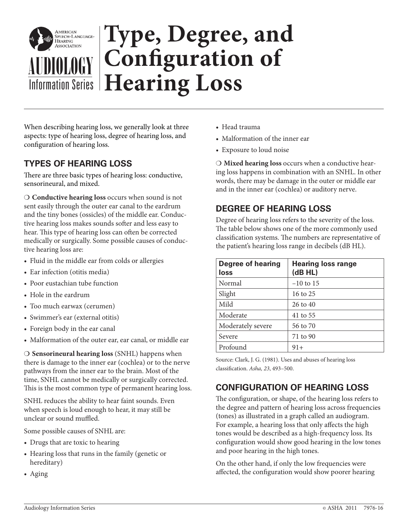

When describing hearing loss, we generally look at three aspects: type of hearing loss, degree of hearing loss, and configuration of hearing loss.

## **TYPES OF HEARING LOSS**

There are three basic types of hearing loss: conductive, sensorineural, and mixed.

- **Conductive hearing loss** occurs when sound is not sent easily through the outer ear canal to the eardrum and the tiny bones (ossicles) of the middle ear. Conductive hearing loss makes sounds softer and less easy to hear. This type of hearing loss can often be corrected medically or surgically. Some possible causes of conductive hearing loss are:

- Fluid in the middle ear from colds or allergies
- Ear infection (otitis media)
- Poor eustachian tube function
- Hole in the eardrum
- Too much earwax (cerumen)
- Swimmer's ear (external otitis)
- Foreign body in the ear canal
- Malformation of the outer ear, ear canal, or middle ear

- **Sensorineural hearing loss** (SNHL) happens when there is damage to the inner ear (cochlea) or to the nerve pathways from the inner ear to the brain. Most of the time, SNHL cannot be medically or surgically corrected. This is the most common type of permanent hearing loss.

SNHL reduces the ability to hear faint sounds. Even when speech is loud enough to hear, it may still be unclear or sound muffled.

Some possible causes of SNHL are:

- Drugs that are toxic to hearing
- Hearing loss that runs in the family (genetic or hereditary)
- $\bullet$  Aging
- Head trauma
- Malformation of the inner ear
- Exposure to loud noise

- **Mixed hearing loss** occurs when a conductive hearing loss happens in combination with an SNHL. In other words, there may be damage in the outer or middle ear and in the inner ear (cochlea) or auditory nerve.

### **DEGREE OF HEARING LOSS**

Degree of hearing loss refers to the severity of the loss. The table below shows one of the more commonly used classification systems. The numbers are representative of the patient's hearing loss range in decibels (dB HL).

| <b>Degree of hearing</b><br>loss | <b>Hearing loss range</b><br>(dBHL) |
|----------------------------------|-------------------------------------|
| Normal                           | $-10$ to 15                         |
| Slight                           | 16 to 25                            |
| Mild                             | $26 \text{ to } 40$                 |
| Moderate                         | 41 to 55                            |
| Moderately severe                | 56 to 70                            |
| Severe                           | 71 to 90                            |
| Profound                         | $91+$                               |

Source: Clark, J. G. (1981). Uses and abuses of hearing loss classification. Asha, 23, 493–500.

# **CONFIGURATION OF HEARING LOSS**

The configuration, or shape, of the hearing loss refers to the degree and pattern of hearing loss across frequencies (tones) as illustrated in a graph called an audiogram. For example, a hearing loss that only affects the high tones would be described as a high-frequency loss. Its configuration would show good hearing in the low tones and poor hearing in the high tones.

On the other hand, if only the low frequencies were affected, the configuration would show poorer hearing